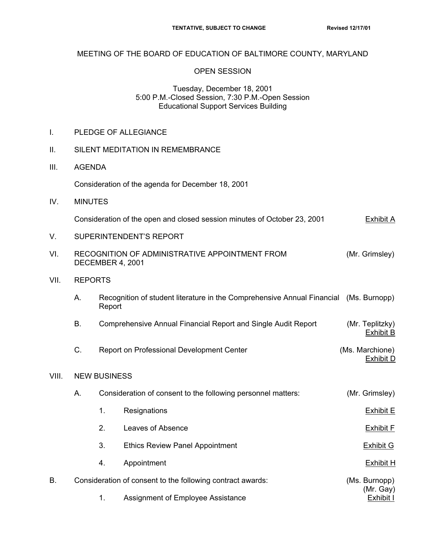### MEETING OF THE BOARD OF EDUCATION OF BALTIMORE COUNTY, MARYLAND

#### OPEN SESSION

### Tuesday, December 18, 2001 5:00 P.M.-Closed Session, 7:30 P.M.-Open Session Educational Support Services Building

I. PLEDGE OF ALLEGIANCE

| ΙΙ.   | SILENT MEDITATION IN REMEMBRANCE                           |                                                                                              |                                                                                       |                                     |  |  |  |  |
|-------|------------------------------------------------------------|----------------------------------------------------------------------------------------------|---------------------------------------------------------------------------------------|-------------------------------------|--|--|--|--|
| III.  | <b>AGENDA</b>                                              |                                                                                              |                                                                                       |                                     |  |  |  |  |
|       |                                                            | Consideration of the agenda for December 18, 2001                                            |                                                                                       |                                     |  |  |  |  |
| IV.   | <b>MINUTES</b>                                             |                                                                                              |                                                                                       |                                     |  |  |  |  |
|       |                                                            | Consideration of the open and closed session minutes of October 23, 2001<br><b>Exhibit A</b> |                                                                                       |                                     |  |  |  |  |
| V.    | SUPERINTENDENT'S REPORT                                    |                                                                                              |                                                                                       |                                     |  |  |  |  |
| VI.   |                                                            | RECOGNITION OF ADMINISTRATIVE APPOINTMENT FROM<br>(Mr. Grimsley)<br>DECEMBER 4, 2001         |                                                                                       |                                     |  |  |  |  |
| VII.  | <b>REPORTS</b>                                             |                                                                                              |                                                                                       |                                     |  |  |  |  |
|       | Α.                                                         | Report                                                                                       | Recognition of student literature in the Comprehensive Annual Financial (Ms. Burnopp) |                                     |  |  |  |  |
|       | В.                                                         | Comprehensive Annual Financial Report and Single Audit Report                                |                                                                                       | (Mr. Teplitzky)<br><b>Exhibit B</b> |  |  |  |  |
|       | C.                                                         | Report on Professional Development Center                                                    | (Ms. Marchione)<br><b>Exhibit D</b>                                                   |                                     |  |  |  |  |
| VIII. | <b>NEW BUSINESS</b>                                        |                                                                                              |                                                                                       |                                     |  |  |  |  |
|       | А.                                                         |                                                                                              | Consideration of consent to the following personnel matters:                          | (Mr. Grimsley)                      |  |  |  |  |
|       |                                                            | 1.                                                                                           | Resignations                                                                          | <b>Exhibit E</b>                    |  |  |  |  |
|       |                                                            | 2.                                                                                           | Leaves of Absence                                                                     | <b>Exhibit F</b>                    |  |  |  |  |
|       |                                                            | 3.                                                                                           | <b>Ethics Review Panel Appointment</b>                                                | <b>Exhibit G</b>                    |  |  |  |  |
|       |                                                            | 4.                                                                                           | Appointment                                                                           | <b>Exhibit H</b>                    |  |  |  |  |
| В.    | Consideration of consent to the following contract awards: | (Ms. Burnopp)<br>(Mr. Gay)<br>Exhibit I                                                      |                                                                                       |                                     |  |  |  |  |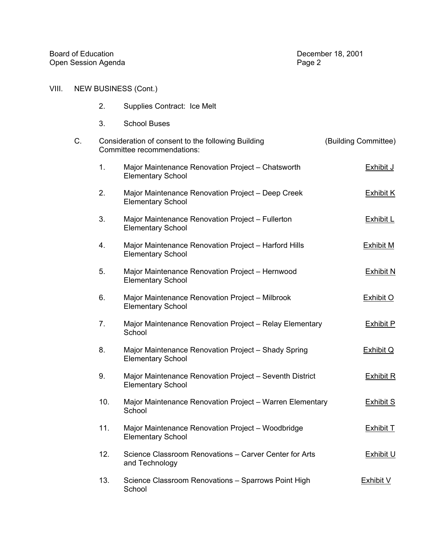## VIII. NEW BUSINESS (Cont.)

- 2. Supplies Contract: Ice Melt
- 3. School Buses

| C. |     | Consideration of consent to the following Building<br>Committee recommendations:    | (Building Committee) |
|----|-----|-------------------------------------------------------------------------------------|----------------------|
|    | 1.  | Major Maintenance Renovation Project - Chatsworth<br><b>Elementary School</b>       | <b>Exhibit J</b>     |
|    | 2.  | Major Maintenance Renovation Project - Deep Creek<br><b>Elementary School</b>       | <b>Exhibit K</b>     |
|    | 3.  | Major Maintenance Renovation Project - Fullerton<br><b>Elementary School</b>        | <b>Exhibit L</b>     |
|    | 4.  | Major Maintenance Renovation Project - Harford Hills<br><b>Elementary School</b>    | <b>Exhibit M</b>     |
|    | 5.  | Major Maintenance Renovation Project - Hernwood<br><b>Elementary School</b>         | Exhibit N            |
|    | 6.  | Major Maintenance Renovation Project - Milbrook<br><b>Elementary School</b>         | <b>Exhibit O</b>     |
|    | 7.  | Major Maintenance Renovation Project - Relay Elementary<br>School                   | <b>Exhibit P</b>     |
|    | 8.  | Major Maintenance Renovation Project - Shady Spring<br><b>Elementary School</b>     | <b>Exhibit Q</b>     |
|    | 9.  | Major Maintenance Renovation Project - Seventh District<br><b>Elementary School</b> | <b>Exhibit R</b>     |
|    | 10. | Major Maintenance Renovation Project - Warren Elementary<br>School                  | <b>Exhibit S</b>     |
|    | 11. | Major Maintenance Renovation Project - Woodbridge<br><b>Elementary School</b>       | Exhibit T            |
|    | 12. | Science Classroom Renovations - Carver Center for Arts<br>and Technology            | <b>Exhibit U</b>     |
|    | 13. | Science Classroom Renovations - Sparrows Point High<br>School                       | <b>Exhibit V</b>     |